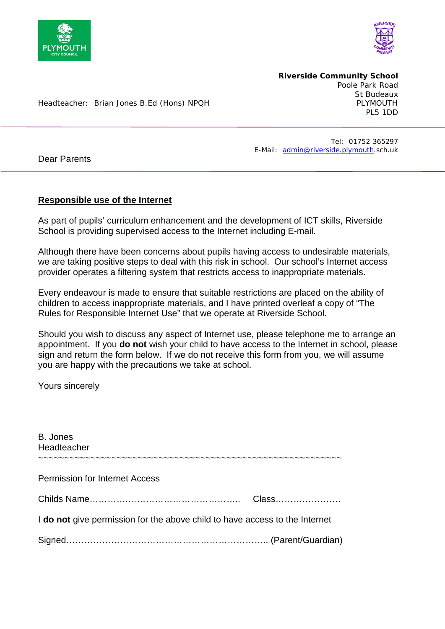

Dear Parents



**Riverside Community School** Poole Park Road St Budeaux<br>PI YMOUTH PL5 1DD

Headteacher: Brian Jones B.Ed (Hons) NPQH

 Tel: 01752 365297 E-Mail: [admin@riverside.plymouth.](mailto:admin@riverside.plymouth)sch.uk

## **Responsible use of the Internet**

As part of pupils' curriculum enhancement and the development of ICT skills, Riverside School is providing supervised access to the Internet including E-mail.

Although there have been concerns about pupils having access to undesirable materials, we are taking positive steps to deal with this risk in school. Our school's Internet access provider operates a filtering system that restricts access to inappropriate materials.

Every endeavour is made to ensure that suitable restrictions are placed on the ability of children to access inappropriate materials, and I have printed overleaf a copy of "The Rules for Responsible Internet Use" that we operate at Riverside School.

Should you wish to discuss any aspect of Internet use, please telephone me to arrange an appointment. If you **do not** wish your child to have access to the Internet in school, please sign and return the form below. If we do not receive this form from you, we will assume you are happy with the precautions we take at school.

Yours sincerely

| B. Jones<br>Headteacher                                                     |       |
|-----------------------------------------------------------------------------|-------|
| <b>Permission for Internet Access</b>                                       |       |
|                                                                             | Class |
| I do not give permission for the above child to have access to the Internet |       |
|                                                                             |       |